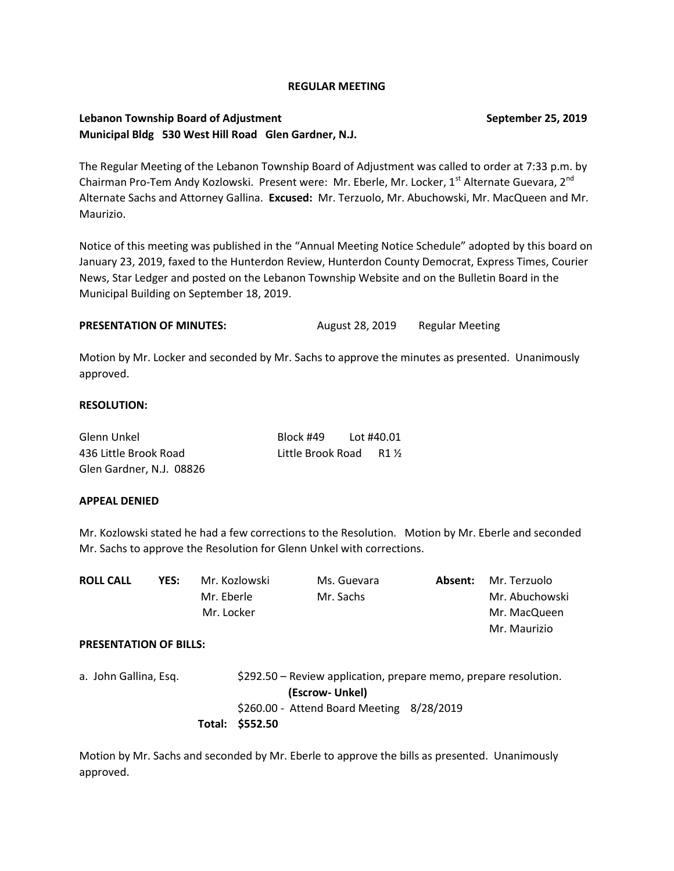### **REGULAR MEETING**

# **Lebanon Township Board of Adjustment September 25, 2019 Municipal Bldg 530 West Hill Road Glen Gardner, N.J.**

The Regular Meeting of the Lebanon Township Board of Adjustment was called to order at 7:33 p.m. by Chairman Pro-Tem Andy Kozlowski. Present were: Mr. Eberle, Mr. Locker, 1<sup>st</sup> Alternate Guevara, 2<sup>nd</sup> Alternate Sachs and Attorney Gallina. **Excused:** Mr. Terzuolo, Mr. Abuchowski, Mr. MacQueen and Mr. Maurizio.

Notice of this meeting was published in the "Annual Meeting Notice Schedule" adopted by this board on January 23, 2019, faxed to the Hunterdon Review, Hunterdon County Democrat, Express Times, Courier News, Star Ledger and posted on the Lebanon Township Website and on the Bulletin Board in the Municipal Building on September 18, 2019.

# **PRESENTATION OF MINUTES:** August 28, 2019 Regular Meeting

Motion by Mr. Locker and seconded by Mr. Sachs to approve the minutes as presented. Unanimously approved.

## **RESOLUTION:**

| Glenn Unkel              | Block #49         | Lot #40.01 |      |
|--------------------------|-------------------|------------|------|
| 436 Little Brook Road    | Little Brook Road |            | R1 ½ |
| Glen Gardner, N.J. 08826 |                   |            |      |

### **APPEAL DENIED**

Mr. Kozlowski stated he had a few corrections to the Resolution. Motion by Mr. Eberle and seconded Mr. Sachs to approve the Resolution for Glenn Unkel with corrections.

| <b>ROLL CALL</b>              | YES: | Mr. Kozlowski | Ms. Guevara | Absent: | Mr. Terzuolo   |
|-------------------------------|------|---------------|-------------|---------|----------------|
|                               |      | Mr. Eberle    | Mr. Sachs   |         | Mr. Abuchowski |
|                               |      | Mr. Locker    |             |         | Mr. MacQueen   |
|                               |      |               |             |         | Mr. Maurizio   |
| <b>PRESENTATION OF BILLS:</b> |      |               |             |         |                |
|                               |      |               |             |         |                |
|                               |      |               |             |         |                |

a. John Gallina, Esq.  $$292.50 -$  Review application, prepare memo, prepare resolution. **(Escrow- Unkel)** \$260.00 - Attend Board Meeting 8/28/2019 **Total: \$552.50**

Motion by Mr. Sachs and seconded by Mr. Eberle to approve the bills as presented. Unanimously approved.